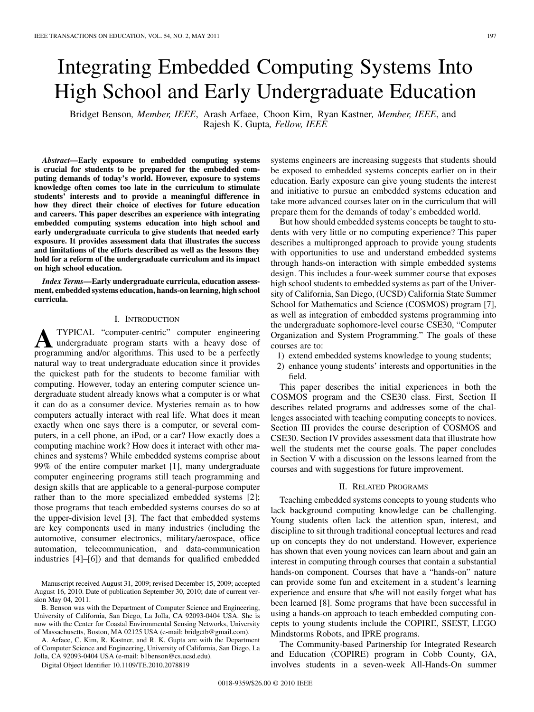# Integrating Embedded Computing Systems Into High School and Early Undergraduate Education

Bridget Benson*, Member, IEEE*, Arash Arfaee, Choon Kim, Ryan Kastner*, Member, IEEE*, and Rajesh K. Gupta*, Fellow, IEEE*

*Abstract—***Early exposure to embedded computing systems is crucial for students to be prepared for the embedded computing demands of today's world. However, exposure to systems knowledge often comes too late in the curriculum to stimulate students' interests and to provide a meaningful difference in how they direct their choice of electives for future education and careers. This paper describes an experience with integrating embedded computing systems education into high school and early undergraduate curricula to give students that needed early exposure. It provides assessment data that illustrates the success and limitations of the efforts described as well as the lessons they hold for a reform of the undergraduate curriculum and its impact on high school education.**

*Index Terms—***Early undergraduate curricula, education assessment, embedded systems education, hands-on learning, high school curricula.**

#### I. INTRODUCTION

**A**TYPICAL "computer-centric" computer engineering<br>undergraduate program starts with a heavy dose of<br>programming and/or algorithms. This used to be a perfectly programming and/or algorithms. This used to be a perfectly natural way to treat undergraduate education since it provides the quickest path for the students to become familiar with computing. However, today an entering computer science undergraduate student already knows what a computer is or what it can do as a consumer device. Mysteries remain as to how computers actually interact with real life. What does it mean exactly when one says there is a computer, or several computers, in a cell phone, an iPod, or a car? How exactly does a computing machine work? How does it interact with other machines and systems? While embedded systems comprise about 99% of the entire computer market [1], many undergraduate computer engineering programs still teach programming and design skills that are applicable to a general-purpose computer rather than to the more specialized embedded systems [2]; those programs that teach embedded systems courses do so at the upper-division level [3]. The fact that embedded systems are key components used in many industries (including the automotive, consumer electronics, military/aerospace, office automation, telecommunication, and data-communication industries [4]–[6]) and that demands for qualified embedded

Manuscript received August 31, 2009; revised December 15, 2009; accepted August 16, 2010. Date of publication September 30, 2010; date of current version May 04, 2011.

B. Benson was with the Department of Computer Science and Engineering, University of California, San Diego, La Jolla, CA 92093-0404 USA. She is now with the Center for Coastal Environmental Sensing Networks, University of Massachusetts, Boston, MA 02125 USA (e-mail: bridgetb@gmail.com).

A. Arfaee, C. Kim, R. Kastner, and R. K. Gupta are with the Department of Computer Science and Engineering, University of California, San Diego, La Jolla, CA 92093-0404 USA (e-mail: b1benson@cs.ucsd.edu).

Digital Object Identifier 10.1109/TE.2010.2078819

systems engineers are increasing suggests that students should be exposed to embedded systems concepts earlier on in their education. Early exposure can give young students the interest and initiative to pursue an embedded systems education and take more advanced courses later on in the curriculum that will prepare them for the demands of today's embedded world.

But how should embedded systems concepts be taught to students with very little or no computing experience? This paper describes a multipronged approach to provide young students with opportunities to use and understand embedded systems through hands-on interaction with simple embedded systems design. This includes a four-week summer course that exposes high school students to embedded systems as part of the University of California, San Diego, (UCSD) California State Summer School for Mathematics and Science (COSMOS) program [7], as well as integration of embedded systems programming into the undergraduate sophomore-level course CSE30, "Computer Organization and System Programming." The goals of these courses are to:

- 1) extend embedded systems knowledge to young students;
- 2) enhance young students' interests and opportunities in the field.

This paper describes the initial experiences in both the COSMOS program and the CSE30 class. First, Section II describes related programs and addresses some of the challenges associated with teaching computing concepts to novices. Section III provides the course description of COSMOS and CSE30. Section IV provides assessment data that illustrate how well the students met the course goals. The paper concludes in Section V with a discussion on the lessons learned from the courses and with suggestions for future improvement.

## II. RELATED PROGRAMS

Teaching embedded systems concepts to young students who lack background computing knowledge can be challenging. Young students often lack the attention span, interest, and discipline to sit through traditional conceptual lectures and read up on concepts they do not understand. However, experience has shown that even young novices can learn about and gain an interest in computing through courses that contain a substantial hands-on component. Courses that have a "hands-on" nature can provide some fun and excitement in a student's learning experience and ensure that s/he will not easily forget what has been learned [8]. Some programs that have been successful in using a hands-on approach to teach embedded computing concepts to young students include the COPIRE, SSEST, LEGO Mindstorms Robots, and IPRE programs.

The Community-based Partnership for Integrated Research and Education (COPIRE) program in Cobb County, GA, involves students in a seven-week All-Hands-On summer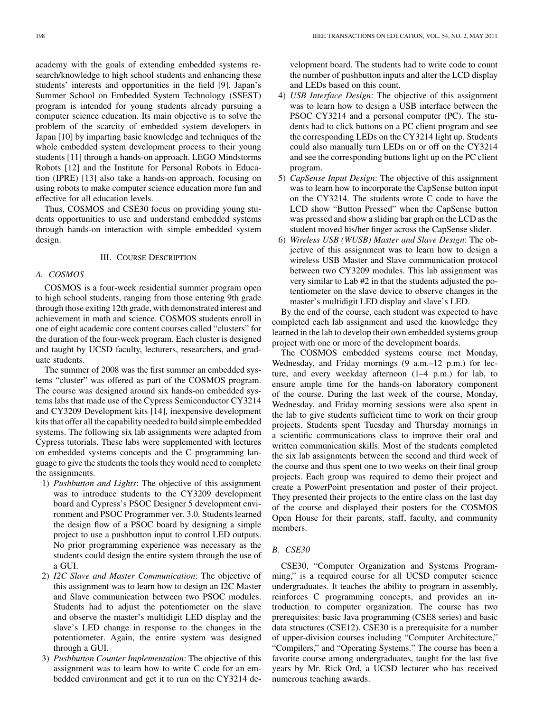academy with the goals of extending embedded systems research/knowledge to high school students and enhancing these students' interests and opportunities in the field [9]. Japan's Summer School on Embedded System Technology (SSEST) program is intended for young students already pursuing a computer science education. Its main objective is to solve the problem of the scarcity of embedded system developers in Japan [10] by imparting basic knowledge and techniques of the whole embedded system development process to their young students [11] through a hands-on approach. LEGO Mindstorms Robots [12] and the Institute for Personal Robots in Education (IPRE) [13] also take a hands-on approach, focusing on using robots to make computer science education more fun and effective for all education levels.

Thus, COSMOS and CSE30 focus on providing young students opportunities to use and understand embedded systems through hands-on interaction with simple embedded system design.

## III. COURSE DESCRIPTION

#### *A. COSMOS*

COSMOS is a four-week residential summer program open to high school students, ranging from those entering 9th grade through those exiting 12th grade, with demonstrated interest and achievement in math and science. COSMOS students enroll in one of eight academic core content courses called "clusters" for the duration of the four-week program. Each cluster is designed and taught by UCSD faculty, lecturers, researchers, and graduate students.

The summer of 2008 was the first summer an embedded systems "cluster" was offered as part of the COSMOS program. The course was designed around six hands-on embedded systems labs that made use of the Cypress Semiconductor CY3214 and CY3209 Development kits [14], inexpensive development kits that offer all the capability needed to build simple embedded systems. The following six lab assignments were adapted from Cypress tutorials. These labs were supplemented with lectures on embedded systems concepts and the C programming language to give the students the tools they would need to complete the assignments.

- 1) *Pushbutton and Lights*: The objective of this assignment was to introduce students to the CY3209 development board and Cypress's PSOC Designer 5 development environment and PSOC Programmer ver. 3.0. Students learned the design flow of a PSOC board by designing a simple project to use a pushbutton input to control LED outputs. No prior programming experience was necessary as the students could design the entire system through the use of a GUI.
- 2) *I2C Slave and Master Communication*: The objective of this assignment was to learn how to design an I2C Master and Slave communication between two PSOC modules. Students had to adjust the potentiometer on the slave and observe the master's multidigit LED display and the slave's LED change in response to the changes in the potentiometer. Again, the entire system was designed through a GUI.
- 3) *Pushbutton Counter Implementation*: The objective of this assignment was to learn how to write C code for an embedded environment and get it to run on the CY3214 de-

velopment board. The students had to write code to count the number of pushbutton inputs and alter the LCD display and LEDs based on this count.

- 4) *USB Interface Design*: The objective of this assignment was to learn how to design a USB interface between the PSOC CY3214 and a personal computer (PC). The students had to click buttons on a PC client program and see the corresponding LEDs on the CY3214 light up. Students could also manually turn LEDs on or off on the CY3214 and see the corresponding buttons light up on the PC client program.
- 5) *CapSense Input Design*: The objective of this assignment was to learn how to incorporate the CapSense button input on the CY3214. The students wrote C code to have the LCD show "Button Pressed" when the CapSense button was pressed and show a sliding bar graph on the LCD as the student moved his/her finger across the CapSense slider.
- 6) *Wireless USB (WUSB) Master and Slave Design*: The objective of this assignment was to learn how to design a wireless USB Master and Slave communication protocol between two CY3209 modules. This lab assignment was very similar to Lab #2 in that the students adjusted the potentiometer on the slave device to observe changes in the master's multidigit LED display and slave's LED.

By the end of the course, each student was expected to have completed each lab assignment and used the knowledge they learned in the lab to develop their own embedded systems group project with one or more of the development boards.

The COSMOS embedded systems course met Monday, Wednesday, and Friday mornings (9 a.m.–12 p.m.) for lecture, and every weekday afternoon (1–4 p.m.) for lab, to ensure ample time for the hands-on laboratory component of the course. During the last week of the course, Monday, Wednesday, and Friday morning sessions were also spent in the lab to give students sufficient time to work on their group projects. Students spent Tuesday and Thursday mornings in a scientific communications class to improve their oral and written communication skills. Most of the students completed the six lab assignments between the second and third week of the course and thus spent one to two weeks on their final group projects. Each group was required to demo their project and create a PowerPoint presentation and poster of their project. They presented their projects to the entire class on the last day of the course and displayed their posters for the COSMOS Open House for their parents, staff, faculty, and community members.

## *B. CSE30*

CSE30, "Computer Organization and Systems Programming," is a required course for all UCSD computer science undergraduates. It teaches the ability to program in assembly, reinforces C programming concepts, and provides an introduction to computer organization. The course has two prerequisites: basic Java programming (CSE8 series) and basic data structures (CSE12). CSE30 is a prerequisite for a number of upper-division courses including "Computer Architecture," "Compilers," and "Operating Systems." The course has been a favorite course among undergraduates, taught for the last five years by Mr. Rick Ord, a UCSD lecturer who has received numerous teaching awards.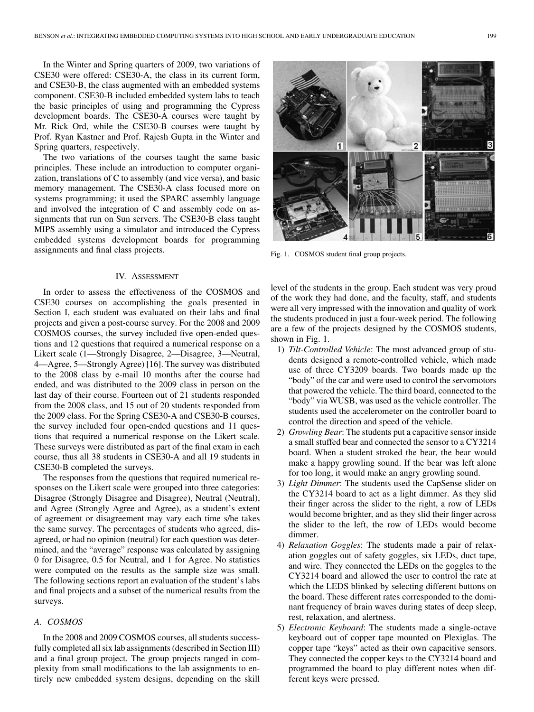In the Winter and Spring quarters of 2009, two variations of CSE30 were offered: CSE30-A, the class in its current form, and CSE30-B, the class augmented with an embedded systems component. CSE30-B included embedded system labs to teach the basic principles of using and programming the Cypress development boards. The CSE30-A courses were taught by Mr. Rick Ord, while the CSE30-B courses were taught by Prof. Ryan Kastner and Prof. Rajesh Gupta in the Winter and Spring quarters, respectively.

The two variations of the courses taught the same basic principles. These include an introduction to computer organization, translations of C to assembly (and vice versa), and basic memory management. The CSE30-A class focused more on systems programming; it used the SPARC assembly language and involved the integration of C and assembly code on assignments that run on Sun servers. The CSE30-B class taught MIPS assembly using a simulator and introduced the Cypress embedded systems development boards for programming assignments and final class projects.

## IV. ASSESSMENT

In order to assess the effectiveness of the COSMOS and CSE30 courses on accomplishing the goals presented in Section I, each student was evaluated on their labs and final projects and given a post-course survey. For the 2008 and 2009 COSMOS courses, the survey included five open-ended questions and 12 questions that required a numerical response on a Likert scale (1—Strongly Disagree, 2—Disagree, 3—Neutral, 4—Agree, 5—Strongly Agree) [16]. The survey was distributed to the 2008 class by e-mail 10 months after the course had ended, and was distributed to the 2009 class in person on the last day of their course. Fourteen out of 21 students responded from the 2008 class, and 15 out of 20 students responded from the 2009 class. For the Spring CSE30-A and CSE30-B courses, the survey included four open-ended questions and 11 questions that required a numerical response on the Likert scale. These surveys were distributed as part of the final exam in each course, thus all 38 students in CSE30-A and all 19 students in CSE30-B completed the surveys.

The responses from the questions that required numerical responses on the Likert scale were grouped into three categories: Disagree (Strongly Disagree and Disagree), Neutral (Neutral), and Agree (Strongly Agree and Agree), as a student's extent of agreement or disagreement may vary each time s/he takes the same survey. The percentages of students who agreed, disagreed, or had no opinion (neutral) for each question was determined, and the "average" response was calculated by assigning 0 for Disagree, 0.5 for Neutral, and 1 for Agree. No statistics were computed on the results as the sample size was small. The following sections report an evaluation of the student's labs and final projects and a subset of the numerical results from the surveys.

# *A. COSMOS*

In the 2008 and 2009 COSMOS courses, all students successfully completed all six lab assignments (described in Section III) and a final group project. The group projects ranged in complexity from small modifications to the lab assignments to entirely new embedded system designs, depending on the skill

Fig. 1. COSMOS student final group projects.

level of the students in the group. Each student was very proud of the work they had done, and the faculty, staff, and students were all very impressed with the innovation and quality of work the students produced in just a four-week period. The following are a few of the projects designed by the COSMOS students, shown in Fig. 1.

- 1) *Tilt-Controlled Vehicle*: The most advanced group of students designed a remote-controlled vehicle, which made use of three CY3209 boards. Two boards made up the "body" of the car and were used to control the servomotors that powered the vehicle. The third board, connected to the "body" via WUSB, was used as the vehicle controller. The students used the accelerometer on the controller board to control the direction and speed of the vehicle.
- 2) *Growling Bear*: The students put a capacitive sensor inside a small stuffed bear and connected the sensor to a CY3214 board. When a student stroked the bear, the bear would make a happy growling sound. If the bear was left alone for too long, it would make an angry growling sound.
- 3) *Light Dimmer*: The students used the CapSense slider on the CY3214 board to act as a light dimmer. As they slid their finger across the slider to the right, a row of LEDs would become brighter, and as they slid their finger across the slider to the left, the row of LEDs would become dimmer.
- 4) *Relaxation Goggles*: The students made a pair of relaxation goggles out of safety goggles, six LEDs, duct tape, and wire. They connected the LEDs on the goggles to the CY3214 board and allowed the user to control the rate at which the LEDS blinked by selecting different buttons on the board. These different rates corresponded to the dominant frequency of brain waves during states of deep sleep, rest, relaxation, and alertness.
- 5) *Electronic Keyboard*: The students made a single-octave keyboard out of copper tape mounted on Plexiglas. The copper tape "keys" acted as their own capacitive sensors. They connected the copper keys to the CY3214 board and programmed the board to play different notes when different keys were pressed.

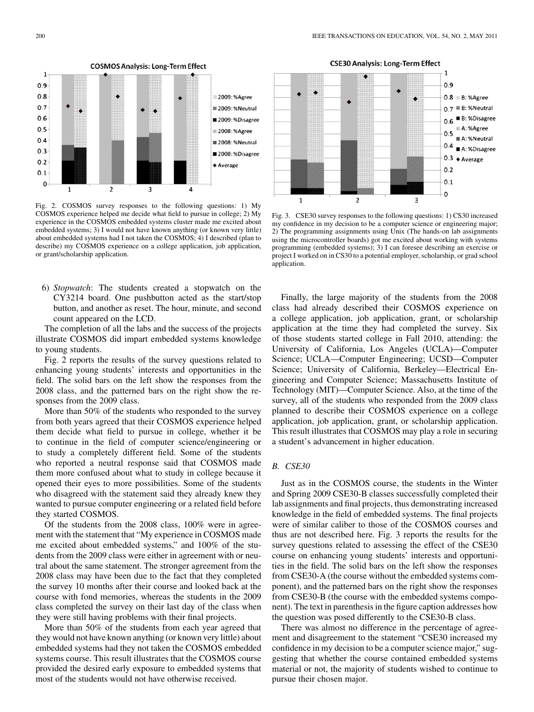count appeared on the LCD. The completion of all the labs and the success of the projects illustrate COSMOS did impart embedded systems knowledge to young students.

Fig. 2 reports the results of the survey questions related to enhancing young students' interests and opportunities in the field. The solid bars on the left show the responses from the 2008 class, and the patterned bars on the right show the responses from the 2009 class.

More than 50% of the students who responded to the survey from both years agreed that their COSMOS experience helped them decide what field to pursue in college, whether it be to continue in the field of computer science/engineering or to study a completely different field. Some of the students who reported a neutral response said that COSMOS made them more confused about what to study in college because it opened their eyes to more possibilities. Some of the students who disagreed with the statement said they already knew they wanted to pursue computer engineering or a related field before they started COSMOS.

Of the students from the 2008 class, 100% were in agreement with the statement that "My experience in COSMOS made me excited about embedded systems," and 100% of the students from the 2009 class were either in agreement with or neutral about the same statement. The stronger agreement from the 2008 class may have been due to the fact that they completed the survey 10 months after their course and looked back at the course with fond memories, whereas the students in the 2009 class completed the survey on their last day of the class when they were still having problems with their final projects.

More than 50% of the students from each year agreed that they would not have known anything (or known very little) about embedded systems had they not taken the COSMOS embedded systems course. This result illustrates that the COSMOS course provided the desired early exposure to embedded systems that most of the students would not have otherwise received.

Finally, the large majority of the students from the 2008 class had already described their COSMOS experience on a college application, job application, grant, or scholarship application at the time they had completed the survey. Six of those students started college in Fall 2010, attending: the University of California, Los Angeles (UCLA)—Computer Science; UCLA—Computer Engineering; UCSD—Computer Science; University of California, Berkeley—Electrical Engineering and Computer Science; Massachusetts Institute of Technology (MIT)—Computer Science. Also, at the time of the survey, all of the students who responded from the 2009 class planned to describe their COSMOS experience on a college application, job application, grant, or scholarship application. This result illustrates that COSMOS may play a role in securing a student's advancement in higher education.

## *B. CSE30*

Just as in the COSMOS course, the students in the Winter and Spring 2009 CSE30-B classes successfully completed their lab assignments and final projects, thus demonstrating increased knowledge in the field of embedded systems. The final projects were of similar caliber to those of the COSMOS courses and thus are not described here. Fig. 3 reports the results for the survey questions related to assessing the effect of the CSE30 course on enhancing young students' interests and opportunities in the field. The solid bars on the left show the responses from CSE30-A (the course without the embedded systems component), and the patterned bars on the right show the responses from CSE30-B (the course with the embedded systems component). The text in parenthesis in the figure caption addresses how the question was posed differently to the CSE30-B class.

There was almost no difference in the percentage of agreement and disagreement to the statement "CSE30 increased my confidence in my decision to be a computer science major," suggesting that whether the course contained embedded systems material or not, the majority of students wished to continue to pursue their chosen major.

COSMOS experience helped me decide what field to pursue in college; 2) My experience in the COSMOS embedded systems cluster made me excited about embedded systems; 3) I would not have known anything (or known very little) about embedded systems had I not taken the COSMOS; 4) I described (plan to describe) my COSMOS experience on a college application, job application, or grant/scholarship application.

6) *Stopwatch*: The students created a stopwatch on the CY3214 board. One pushbutton acted as the start/stop button, and another as reset. The hour, minute, and second

Fig. 2. COSMOS survey responses to the following questions: 1) My

Fig. 3. CSE30 survey responses to the following questions: 1) CS30 increased my confidence in my decision to be a computer science or engineering major; 2) The programming assignments using Unix (The hands-on lab assignments using the microcontroller boards) got me excited about working with systems programming (embedded systems); 3) I can foresee describing an exercise or project I worked on in CS30 to a potential employer, scholarship, or grad school application.



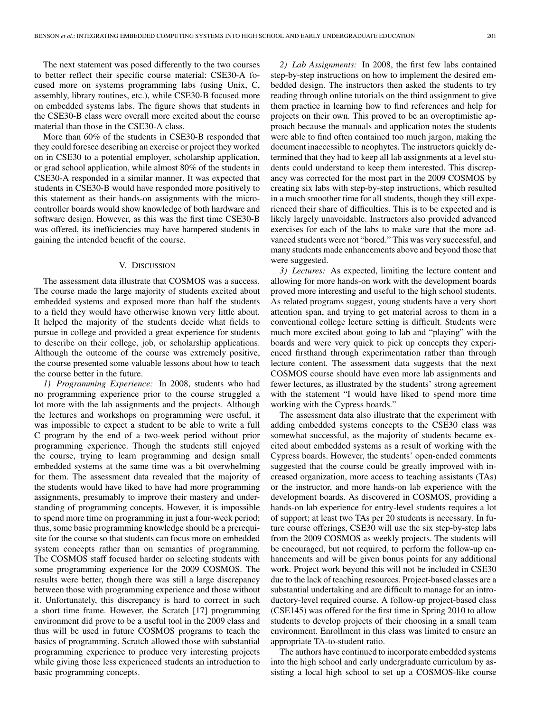The next statement was posed differently to the two courses to better reflect their specific course material: CSE30-A focused more on systems programming labs (using Unix, C, assembly, library routines, etc.), while CSE30-B focused more on embedded systems labs. The figure shows that students in the CSE30-B class were overall more excited about the course material than those in the CSE30-A class.

More than 60% of the students in CSE30-B responded that they could foresee describing an exercise or project they worked on in CSE30 to a potential employer, scholarship application, or grad school application, while almost 80% of the students in CSE30-A responded in a similar manner. It was expected that students in CSE30-B would have responded more positively to this statement as their hands-on assignments with the microcontroller boards would show knowledge of both hardware and software design. However, as this was the first time CSE30-B was offered, its inefficiencies may have hampered students in gaining the intended benefit of the course.

## V. DISCUSSION

The assessment data illustrate that COSMOS was a success. The course made the large majority of students excited about embedded systems and exposed more than half the students to a field they would have otherwise known very little about. It helped the majority of the students decide what fields to pursue in college and provided a great experience for students to describe on their college, job, or scholarship applications. Although the outcome of the course was extremely positive, the course presented some valuable lessons about how to teach the course better in the future.

*1) Programming Experience:* In 2008, students who had no programming experience prior to the course struggled a lot more with the lab assignments and the projects. Although the lectures and workshops on programming were useful, it was impossible to expect a student to be able to write a full C program by the end of a two-week period without prior programming experience. Though the students still enjoyed the course, trying to learn programming and design small embedded systems at the same time was a bit overwhelming for them. The assessment data revealed that the majority of the students would have liked to have had more programming assignments, presumably to improve their mastery and understanding of programming concepts. However, it is impossible to spend more time on programming in just a four-week period; thus, some basic programming knowledge should be a prerequisite for the course so that students can focus more on embedded system concepts rather than on semantics of programming. The COSMOS staff focused harder on selecting students with some programming experience for the 2009 COSMOS. The results were better, though there was still a large discrepancy between those with programming experience and those without it. Unfortunately, this discrepancy is hard to correct in such a short time frame. However, the Scratch [17] programming environment did prove to be a useful tool in the 2009 class and thus will be used in future COSMOS programs to teach the basics of programming. Scratch allowed those with substantial programming experience to produce very interesting projects while giving those less experienced students an introduction to basic programming concepts.

*2) Lab Assignments:* In 2008, the first few labs contained step-by-step instructions on how to implement the desired embedded design. The instructors then asked the students to try reading through online tutorials on the third assignment to give them practice in learning how to find references and help for projects on their own. This proved to be an overoptimistic approach because the manuals and application notes the students were able to find often contained too much jargon, making the document inaccessible to neophytes. The instructors quickly determined that they had to keep all lab assignments at a level students could understand to keep them interested. This discrepancy was corrected for the most part in the 2009 COSMOS by creating six labs with step-by-step instructions, which resulted in a much smoother time for all students, though they still experienced their share of difficulties. This is to be expected and is likely largely unavoidable. Instructors also provided advanced exercises for each of the labs to make sure that the more advanced students were not "bored." This was very successful, and many students made enhancements above and beyond those that were suggested.

*3) Lectures:* As expected, limiting the lecture content and allowing for more hands-on work with the development boards proved more interesting and useful to the high school students. As related programs suggest, young students have a very short attention span, and trying to get material across to them in a conventional college lecture setting is difficult. Students were much more excited about going to lab and "playing" with the boards and were very quick to pick up concepts they experienced firsthand through experimentation rather than through lecture content. The assessment data suggests that the next COSMOS course should have even more lab assignments and fewer lectures, as illustrated by the students' strong agreement with the statement "I would have liked to spend more time working with the Cypress boards."

The assessment data also illustrate that the experiment with adding embedded systems concepts to the CSE30 class was somewhat successful, as the majority of students became excited about embedded systems as a result of working with the Cypress boards. However, the students' open-ended comments suggested that the course could be greatly improved with increased organization, more access to teaching assistants (TAs) or the instructor, and more hands-on lab experience with the development boards. As discovered in COSMOS, providing a hands-on lab experience for entry-level students requires a lot of support; at least two TAs per 20 students is necessary. In future course offerings, CSE30 will use the six step-by-step labs from the 2009 COSMOS as weekly projects. The students will be encouraged, but not required, to perform the follow-up enhancements and will be given bonus points for any additional work. Project work beyond this will not be included in CSE30 due to the lack of teaching resources. Project-based classes are a substantial undertaking and are difficult to manage for an introductory-level required course. A follow-up project-based class (CSE145) was offered for the first time in Spring 2010 to allow students to develop projects of their choosing in a small team environment. Enrollment in this class was limited to ensure an appropriate TA-to-student ratio.

The authors have continued to incorporate embedded systems into the high school and early undergraduate curriculum by assisting a local high school to set up a COSMOS-like course